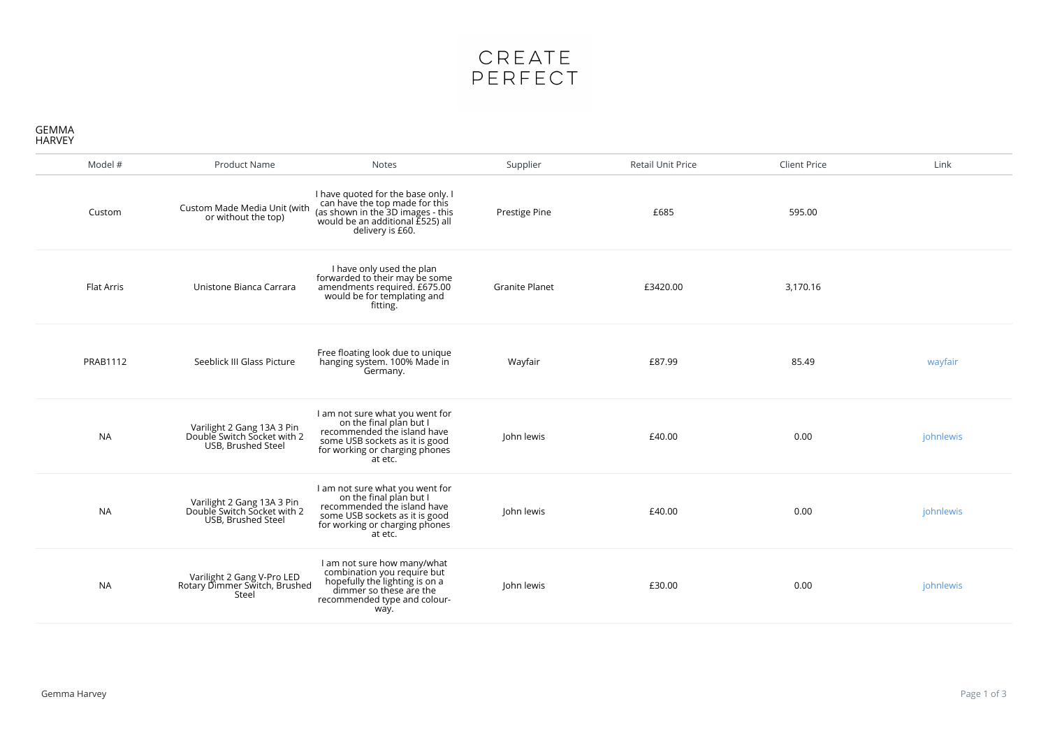

## GEMMA HARVEY

| Model #         | <b>Product Name</b>                                                             | <b>Notes</b>                                                                                                                                                             | Supplier              | <b>Retail Unit Price</b> | <b>Client Price</b> | Link      |
|-----------------|---------------------------------------------------------------------------------|--------------------------------------------------------------------------------------------------------------------------------------------------------------------------|-----------------------|--------------------------|---------------------|-----------|
| Custom          | Custom Made Media Unit (with<br>or without the top)                             | I have quoted for the base only. I<br>can have the top made for this<br>(as shown in the 3D images - this<br>would be an additional E525) all<br>delivery is £60.        | Prestige Pine         | £685                     | 595.00              |           |
| Flat Arris      | Unistone Bianca Carrara                                                         | I have only used the plan<br>forwarded to their may be some<br>amendments required. £675.00<br>would be for templating and<br>fitting.                                   | <b>Granite Planet</b> | £3420.00                 | 3,170.16            |           |
| <b>PRAB1112</b> | Seeblick III Glass Picture                                                      | Free floating look due to unique<br>hanging system. 100% Made in<br>Germany.                                                                                             | Wayfair               | £87.99                   | 85.49               | wayfair   |
| <b>NA</b>       | Varilight 2 Gang 13A 3 Pin<br>Double Switch Socket with 2<br>USB, Brushed Steel | I am not sure what you went for<br>on the final plan but I<br>recommended the island have<br>some USB sockets as it is good<br>for working or charging phones<br>at etc. | John lewis            | £40.00                   | 0.00                | johnlewis |
| <b>NA</b>       | Varilight 2 Gang 13A 3 Pin<br>Double Switch Socket with 2<br>USB, Brushed Steel | I am not sure what you went for<br>on the final plan but I<br>recommended the island have<br>some USB sockets as it is good<br>for working or charging phones<br>at etc. | John lewis            | £40.00                   | 0.00                | johnlewis |
| <b>NA</b>       | Varilight 2 Gang V-Pro LED<br>Rotary Dimmer Switch, Brushed<br>Steel            | I am not sure how many/what<br>combination you require but<br>hopefully the lighting is on a<br>dimmer so these are the<br>recommended type and colour-<br>way.          | John lewis            | £30.00                   | 0.00                | johnlewis |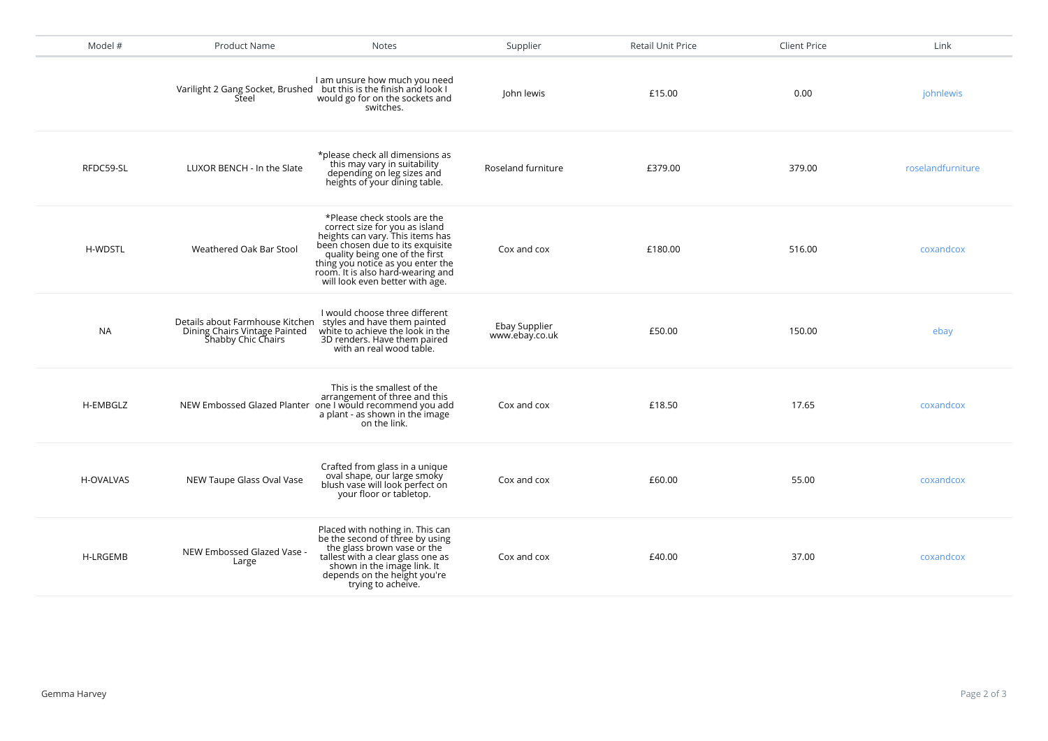| Model #          | Product Name                                                                                                        | <b>Notes</b>                                                                                                                                                                                                                                                                          | Supplier                        | Retail Unit Price | <b>Client Price</b> | Link              |
|------------------|---------------------------------------------------------------------------------------------------------------------|---------------------------------------------------------------------------------------------------------------------------------------------------------------------------------------------------------------------------------------------------------------------------------------|---------------------------------|-------------------|---------------------|-------------------|
|                  | Steel                                                                                                               | I am unsure how much you need<br>Varilight 2 Gang Socket, Brushed but this is the finish and look I<br>would go for on the sockets and<br>switches.                                                                                                                                   | John lewis                      | £15.00            | 0.00                | johnlewis         |
| RFDC59-SL        | LUXOR BENCH - In the Slate                                                                                          | *please check all dimensions as<br>this may vary in suitability<br>depending on leg sizes and<br>heights of your dining table.                                                                                                                                                        | Roseland furniture              | £379.00           | 379.00              | roselandfurniture |
| <b>H-WDSTL</b>   | Weathered Oak Bar Stool                                                                                             | *Please check stools are the<br>correct size for you as island<br>heights can vary. This items has<br>been chosen due to its exquisite<br>quality being one of the first<br>thing you notice as you enter the<br>room. It is also hard-wearing and<br>will look even better with age. | Cox and cox                     | £180.00           | 516.00              | coxandcox         |
| <b>NA</b>        | Details about Farmhouse Kitchen styles and have them painted<br>Dining Chairs Vintage Painted<br>Šhabby Chic Chairs | I would choose three different<br>white to achieve the look in the<br>3D renders. Have them paired<br>with an real wood table.                                                                                                                                                        | Ebay Supplier<br>www.ebay.co.uk | £50.00            | 150.00              | ebay              |
| H-EMBGLZ         |                                                                                                                     | This is the smallest of the<br>arrangement of three and this<br>NEW Embossed Glazed Planter one I would recommend you add<br>a plant - as shown in the image<br>on the link.                                                                                                          | Cox and cox                     | £18.50            | 17.65               | coxandcox         |
| <b>H-OVALVAS</b> | NEW Taupe Glass Oval Vase                                                                                           | Crafted from glass in a unique<br>oval shape, our large smoky<br>blush vase will look perfect on<br>your floor or tabletop.                                                                                                                                                           | Cox and cox                     | £60.00            | 55.00               | coxandcox         |
| <b>H-LRGEMB</b>  | NEW Embossed Glazed Vase -<br>Large                                                                                 | Placed with nothing in. This can<br>be the second of three by using<br>the glass brown vase or the<br>tallest with a clear glass one as<br>shown in the image link. It<br>depends on the height you're<br>trying to acheive.                                                          | Cox and cox                     | £40.00            | 37.00               | coxandcox         |